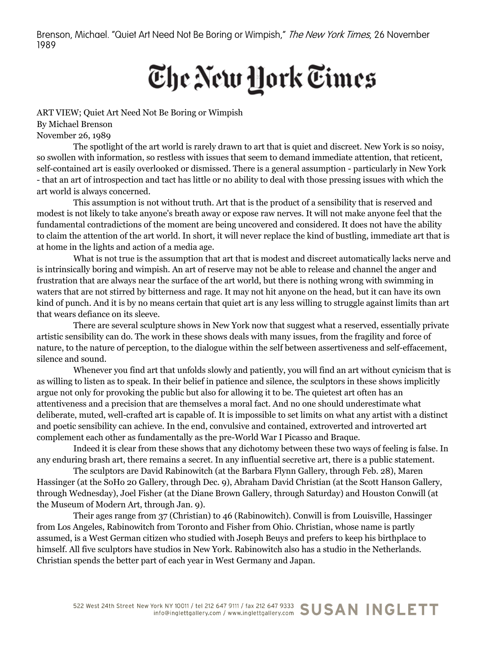Brenson, Michael. "Quiet Art Need Not Be Boring or Wimpish," The New York Times, 26 November 1989

## The New York Times

ART VIEW; Quiet Art Need Not Be Boring or Wimpish By Michael Brenson November 26, 1989

The spotlight of the art world is rarely drawn to art that is quiet and discreet. New York is so noisy, so swollen with information, so restless with issues that seem to demand immediate attention, that reticent, self-contained art is easily overlooked or dismissed. There is a general assumption - particularly in New York - that an art of introspection and tact has little or no ability to deal with those pressing issues with which the art world is always concerned.

This assumption is not without truth. Art that is the product of a sensibility that is reserved and modest is not likely to take anyone's breath away or expose raw nerves. It will not make anyone feel that the fundamental contradictions of the moment are being uncovered and considered. It does not have the ability to claim the attention of the art world. In short, it will never replace the kind of bustling, immediate art that is at home in the lights and action of a media age.

What is not true is the assumption that art that is modest and discreet automatically lacks nerve and is intrinsically boring and wimpish. An art of reserve may not be able to release and channel the anger and frustration that are always near the surface of the art world, but there is nothing wrong with swimming in waters that are not stirred by bitterness and rage. It may not hit anyone on the head, but it can have its own kind of punch. And it is by no means certain that quiet art is any less willing to struggle against limits than art that wears defiance on its sleeve.

There are several sculpture shows in New York now that suggest what a reserved, essentially private artistic sensibility can do. The work in these shows deals with many issues, from the fragility and force of nature, to the nature of perception, to the dialogue within the self between assertiveness and self-effacement, silence and sound.

Whenever you find art that unfolds slowly and patiently, you will find an art without cynicism that is as willing to listen as to speak. In their belief in patience and silence, the sculptors in these shows implicitly argue not only for provoking the public but also for allowing it to be. The quietest art often has an attentiveness and a precision that are themselves a moral fact. And no one should underestimate what deliberate, muted, well-crafted art is capable of. It is impossible to set limits on what any artist with a distinct and poetic sensibility can achieve. In the end, convulsive and contained, extroverted and introverted art complement each other as fundamentally as the pre-World War I Picasso and Braque.

Indeed it is clear from these shows that any dichotomy between these two ways of feeling is false. In any enduring brash art, there remains a secret. In any influential secretive art, there is a public statement.

The sculptors are David Rabinowitch (at the Barbara Flynn Gallery, through Feb. 28), Maren Hassinger (at the SoHo 20 Gallery, through Dec. 9), Abraham David Christian (at the Scott Hanson Gallery, through Wednesday), Joel Fisher (at the Diane Brown Gallery, through Saturday) and Houston Conwill (at the Museum of Modern Art, through Jan. 9).

Their ages range from 37 (Christian) to 46 (Rabinowitch). Conwill is from Louisville, Hassinger from Los Angeles, Rabinowitch from Toronto and Fisher from Ohio. Christian, whose name is partly assumed, is a West German citizen who studied with Joseph Beuys and prefers to keep his birthplace to himself. All five sculptors have studios in New York. Rabinowitch also has a studio in the Netherlands. Christian spends the better part of each year in West Germany and Japan.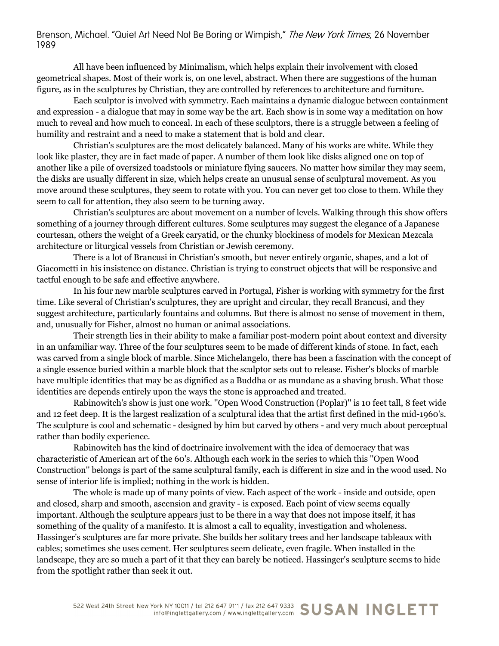## Brenson, Michael. "Quiet Art Need Not Be Boring or Wimpish," The New York Times, 26 November 1989

All have been influenced by Minimalism, which helps explain their involvement with closed geometrical shapes. Most of their work is, on one level, abstract. When there are suggestions of the human figure, as in the sculptures by Christian, they are controlled by references to architecture and furniture.

Each sculptor is involved with symmetry. Each maintains a dynamic dialogue between containment and expression - a dialogue that may in some way be the art. Each show is in some way a meditation on how much to reveal and how much to conceal. In each of these sculptors, there is a struggle between a feeling of humility and restraint and a need to make a statement that is bold and clear.

Christian's sculptures are the most delicately balanced. Many of his works are white. While they look like plaster, they are in fact made of paper. A number of them look like disks aligned one on top of another like a pile of oversized toadstools or miniature flying saucers. No matter how similar they may seem, the disks are usually different in size, which helps create an unusual sense of sculptural movement. As you move around these sculptures, they seem to rotate with you. You can never get too close to them. While they seem to call for attention, they also seem to be turning away.

Christian's sculptures are about movement on a number of levels. Walking through this show offers something of a journey through different cultures. Some sculptures may suggest the elegance of a Japanese courtesan, others the weight of a Greek caryatid, or the chunky blockiness of models for Mexican Mezcala architecture or liturgical vessels from Christian or Jewish ceremony.

There is a lot of Brancusi in Christian's smooth, but never entirely organic, shapes, and a lot of Giacometti in his insistence on distance. Christian is trying to construct objects that will be responsive and tactful enough to be safe and effective anywhere.

In his four new marble sculptures carved in Portugal, Fisher is working with symmetry for the first time. Like several of Christian's sculptures, they are upright and circular, they recall Brancusi, and they suggest architecture, particularly fountains and columns. But there is almost no sense of movement in them, and, unusually for Fisher, almost no human or animal associations.

Their strength lies in their ability to make a familiar post-modern point about context and diversity in an unfamiliar way. Three of the four sculptures seem to be made of different kinds of stone. In fact, each was carved from a single block of marble. Since Michelangelo, there has been a fascination with the concept of a single essence buried within a marble block that the sculptor sets out to release. Fisher's blocks of marble have multiple identities that may be as dignified as a Buddha or as mundane as a shaving brush. What those identities are depends entirely upon the ways the stone is approached and treated.

Rabinowitch's show is just one work. ''Open Wood Construction (Poplar)'' is 10 feet tall, 8 feet wide and 12 feet deep. It is the largest realization of a sculptural idea that the artist first defined in the mid-1960's. The sculpture is cool and schematic - designed by him but carved by others - and very much about perceptual rather than bodily experience.

Rabinowitch has the kind of doctrinaire involvement with the idea of democracy that was characteristic of American art of the 60's. Although each work in the series to which this ''Open Wood Construction'' belongs is part of the same sculptural family, each is different in size and in the wood used. No sense of interior life is implied; nothing in the work is hidden.

The whole is made up of many points of view. Each aspect of the work - inside and outside, open and closed, sharp and smooth, ascension and gravity - is exposed. Each point of view seems equally important. Although the sculpture appears just to be there in a way that does not impose itself, it has something of the quality of a manifesto. It is almost a call to equality, investigation and wholeness. Hassinger's sculptures are far more private. She builds her solitary trees and her landscape tableaux with cables; sometimes she uses cement. Her sculptures seem delicate, even fragile. When installed in the landscape, they are so much a part of it that they can barely be noticed. Hassinger's sculpture seems to hide from the spotlight rather than seek it out.